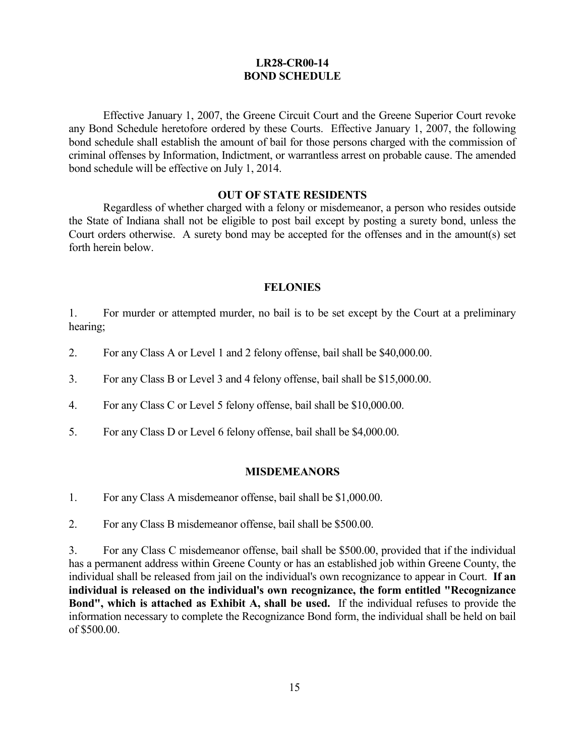## **LR28-CR00-14 BOND SCHEDULE**

Effective January 1, 2007, the Greene Circuit Court and the Greene Superior Court revoke any Bond Schedule heretofore ordered by these Courts. Effective January 1, 2007, the following bond schedule shall establish the amount of bail for those persons charged with the commission of criminal offenses by Information, Indictment, or warrantless arrest on probable cause. The amended bond schedule will be effective on July 1, 2014.

#### **OUT OF STATE RESIDENTS**

Regardless of whether charged with a felony or misdemeanor, a person who resides outside the State of Indiana shall not be eligible to post bail except by posting a surety bond, unless the Court orders otherwise. A surety bond may be accepted for the offenses and in the amount(s) set forth herein below.

### **FELONIES**

1. For murder or attempted murder, no bail is to be set except by the Court at a preliminary hearing;

- 2. For any Class A or Level 1 and 2 felony offense, bail shall be \$40,000.00.
- 3. For any Class B or Level 3 and 4 felony offense, bail shall be \$15,000.00.
- 4. For any Class C or Level 5 felony offense, bail shall be \$10,000.00.
- 5. For any Class D or Level 6 felony offense, bail shall be \$4,000.00.

### **MISDEMEANORS**

- 1. For any Class A misdemeanor offense, bail shall be \$1,000.00.
- 2. For any Class B misdemeanor offense, bail shall be \$500.00.

3. For any Class C misdemeanor offense, bail shall be \$500.00, provided that if the individual has a permanent address within Greene County or has an established job within Greene County, the individual shall be released from jail on the individual's own recognizance to appear in Court. **If an individual is released on the individual's own recognizance, the form entitled "Recognizance Bond", which is attached as Exhibit A, shall be used.** If the individual refuses to provide the information necessary to complete the Recognizance Bond form, the individual shall be held on bail of \$500.00.